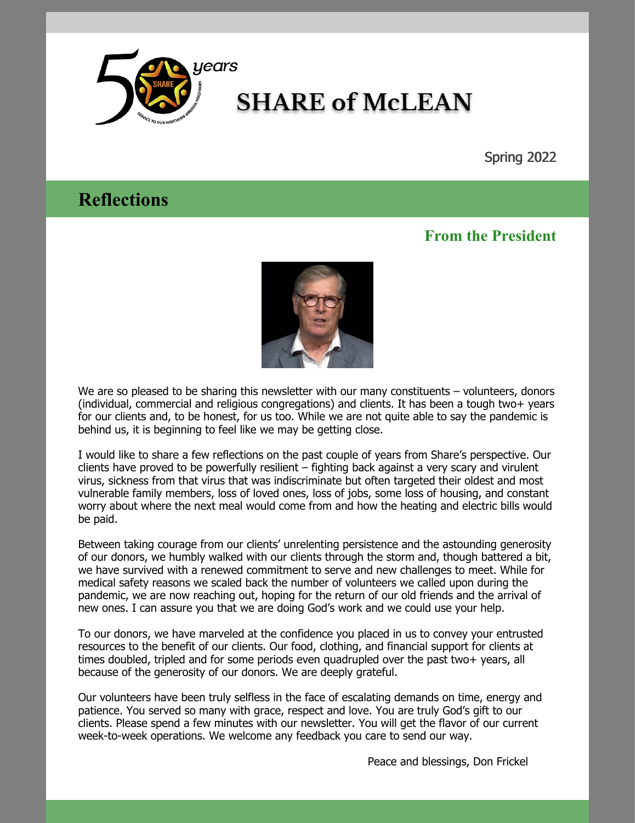

# **SHARE of McLEAN**

Spring 2022

## **Reflections**

### **From the President**



We are so pleased to be sharing this newsletter with our many constituents – volunteers, donors (individual, commercial and religious congregations) and clients. It has been a tough two+ years for our clients and, to be honest, for us too. While we are not quite able to say the pandemic is behind us, it is beginning to feel like we may be getting close.

I would like to share a few reflections on the past couple of years from Share's perspective. Our clients have proved to be powerfully resilient – fighting back against a very scary and virulent virus, sickness from that virus that was indiscriminate but often targeted their oldest and most vulnerable family members, loss of loved ones, loss of jobs, some loss of housing, and constant worry about where the next meal would come from and how the heating and electric bills would be paid.

Between taking courage from our clients' unrelenting persistence and the astounding generosity of our donors, we humbly walked with our clients through the storm and, though battered a bit, we have survived with a renewed commitment to serve and new challenges to meet. While for medical safety reasons we scaled back the number of volunteers we called upon during the pandemic, we are now reaching out, hoping for the return of our old friends and the arrival of new ones. I can assure you that we are doing God's work and we could use your help.

To our donors, we have marveled at the confidence you placed in us to convey your entrusted resources to the benefit of our clients. Our food, clothing, and financial support for clients at times doubled, tripled and for some periods even quadrupled over the past two+ years, all because of the generosity of our donors. We are deeply grateful.

Our volunteers have been truly selfless in the face of escalating demands on time, energy and patience. You served so many with grace, respect and love. You are truly God's gift to our clients. Please spend a few minutes with our newsletter. You will get the flavor of our current week-to-week operations. We welcome any feedback you care to send our way.

Peace and blessings, Don Frickel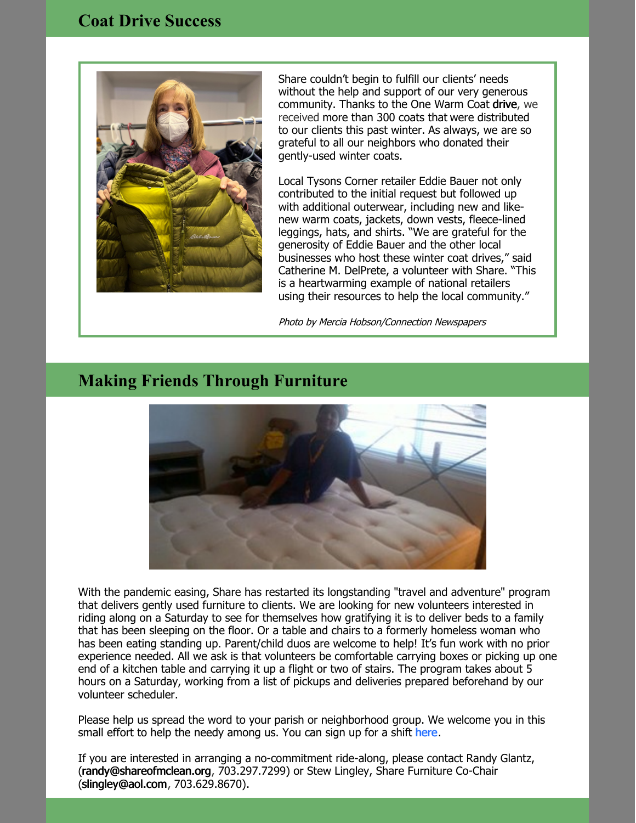

Share couldn't begin to fulfill our clients' needs without the help and support of our very generous community. Thanks to the One Warm Coat [drive](https://www.onewarmcoat.org/), we received more than 300 coats that were distributed to our clients this past winter. As always, we are so grateful to all our neighbors who donated their gently-used winter coats.

Local Tysons Corner retailer Eddie Bauer not only contributed to the initial request but followed up with additional outerwear, including new and likenew warm coats, jackets, down vests, fleece-lined leggings, hats, and shirts. "We are grateful for the generosity of Eddie Bauer and the other local businesses who host these winter coat drives," said Catherine M. DelPrete, a volunteer with Share. "This is a heartwarming example of national retailers using their resources to help the local community."

Photo by Mercia Hobson/Connection Newspapers

## **Making Friends Through Furniture**



With the pandemic easing, Share has restarted its longstanding "travel and adventure" program that delivers gently used furniture to clients. We are looking for new volunteers interested in riding along on a Saturday to see for themselves how gratifying it is to deliver beds to a family that has been sleeping on the floor. Or a table and chairs to a formerly homeless woman who has been eating standing up. Parent/child duos are welcome to help! It's fun work with no prior experience needed. All we ask is that volunteers be comfortable carrying boxes or picking up one end of a kitchen table and carrying it up a flight or two of stairs. The program takes about 5 hours on a Saturday, working from a list of pickups and deliveries prepared beforehand by our volunteer scheduler.

Please help us spread the word to your parish or neighborhood group. We welcome you in this small effort to help the needy among us. You can sign up for a shift [here](https://www.signupgenius.com/go/60b0f44aba82ba31-share).

If you are interested in arranging a no-commitment ride-along, please contact Randy Glantz, [\(randy@shareofmclean.org](mailto:randy@shareofmclean.org), 703.297.7299) or Stew Lingley, Share Furniture Co-Chair [\(slingley@aol.com](mailto:slingley@aol.com), 703.629.8670).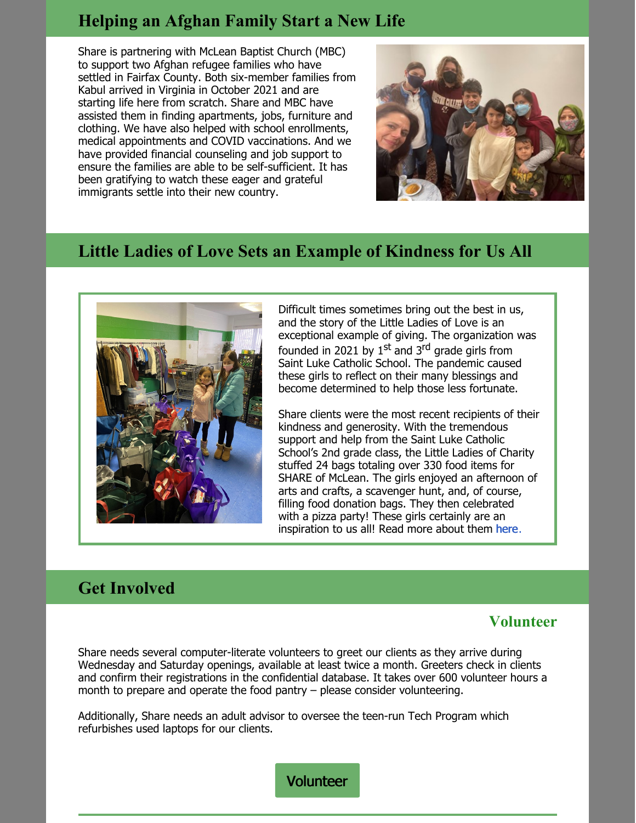## **Helping an Afghan Family Start a New Life**

Share is partnering with McLean Baptist Church (MBC) to support two Afghan refugee families who have settled in Fairfax County. Both six-member families from Kabul arrived in Virginia in October 2021 and are starting life here from scratch. Share and MBC have assisted them in finding apartments, jobs, furniture and clothing. We have also helped with school enrollments, medical appointments and COVID vaccinations. And we have provided financial counseling and job support to ensure the families are able to be self-sufficient. It has been gratifying to watch these eager and grateful immigrants settle into their new country.



## **Little Ladies of Love Sets an Example of Kindness for Us All**



Difficult times sometimes bring out the best in us, and the story of the Little Ladies of Love is an exceptional example of giving. The organization was founded in 2021 by 1<sup>st</sup> and 3<sup>rd</sup> grade girls from Saint Luke Catholic School. The pandemic caused these girls to reflect on their many blessings and become determined to help those less fortunate.

Share clients were the most recent recipients of their kindness and generosity. With the tremendous support and help from the Saint Luke Catholic School's 2nd grade class, the Little Ladies of Charity stuffed 24 bags totaling over 330 food items for SHARE of McLean. The girls enjoyed an afternoon of arts and crafts, a scavenger hunt, and, of course, filling food donation bags. They then celebrated with a pizza party! These girls certainly are an inspiration to us all! Read more about them [here](https://littleladiesofcharity.org/about-us).

## **Get Involved**

#### **Volunteer**

Share needs several computer-literate volunteers to greet our clients as they arrive during Wednesday and Saturday openings, available at least twice a month. Greeters check in clients and confirm their registrations in the confidential database. It takes over 600 volunteer hours a month to prepare and operate the food pantry – please consider volunteering.

Additionally, Share needs an adult advisor to oversee the teen-run Tech Program which refurbishes used laptops for our clients.

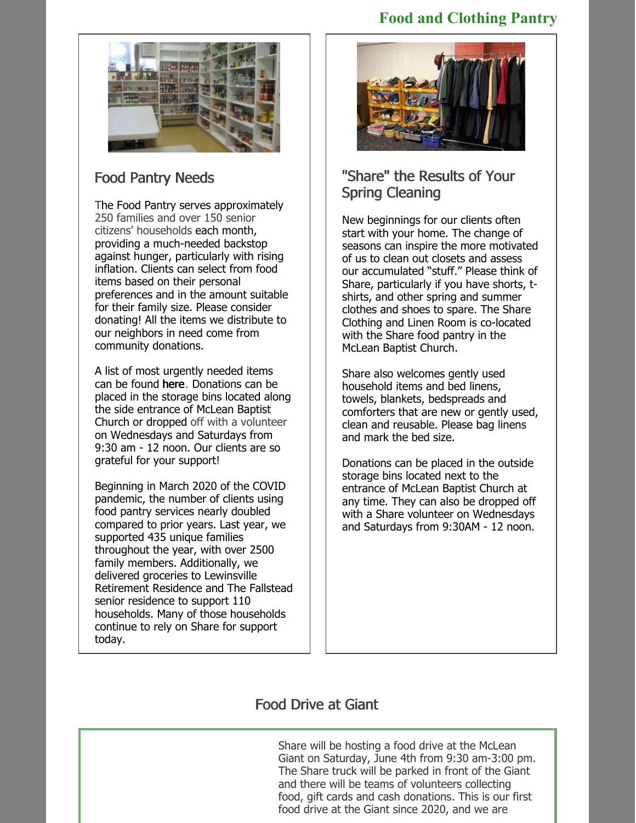### **Food and Clothing Pantry**



## Food Pantry Needs

The Food Pantry serves approximately 250 families and over 150 senior citizens' households each month, providing a much-needed backstop against hunger, particularly with rising inflation. Clients can select from food items based on their personal preferences and in the amount suitable for their family size. Please consider donating! All the items we distribute to our neighbors in need come from community donations.

A list of most urgently needed items can be found [here](https://www.shareofmclean.org/_files/ugd/891f83_1fc8b6a5535f4e7a8650644c3ae82079.pdf). Donations can be placed in the storage bins located along the side entrance of McLean Baptist Church or dropped off with a volunteer on Wednesdays and Saturdays from 9:30 am - 12 noon. Our clients are so grateful for your support!

Beginning in March 2020 of the COVID pandemic, the number of clients using food pantry services nearly doubled compared to prior years. Last year, we supported 435 unique families throughout the year, with over 2500 family members. Additionally, we delivered groceries to Lewinsville Retirement Residence and The Fallstead senior residence to support 110 households. Many of those households continue to rely on Share for support today.



## "Share" the Results of Your Spring Cleaning

New beginnings for our clients often start with your home. The change of seasons can inspire the more motivated of us to clean out closets and assess our accumulated "stuff." Please think of Share, particularly if you have shorts, tshirts, and other spring and summer clothes and shoes to spare. The Share Clothing and Linen Room is co-located with the Share food pantry in the McLean Baptist Church.

Share also welcomes gently used household items and bed linens, towels, blankets, bedspreads and comforters that are new or gently used, clean and reusable. Please bag linens and mark the bed size.

Donations can be placed in the outside storage bins located next to the entrance of McLean Baptist Church at any time. They can also be dropped off with a Share volunteer on Wednesdays and Saturdays from 9:30AM - 12 noon.

## Food Drive at Giant

Share will be hosting a food drive at the McLean Giant on Saturday, June 4th from 9:30 am-3:00 pm. The Share truck will be parked in front of the Giant and there will be teams of volunteers collecting food, gift cards and cash donations. This is our first food drive at the Giant since 2020, and we are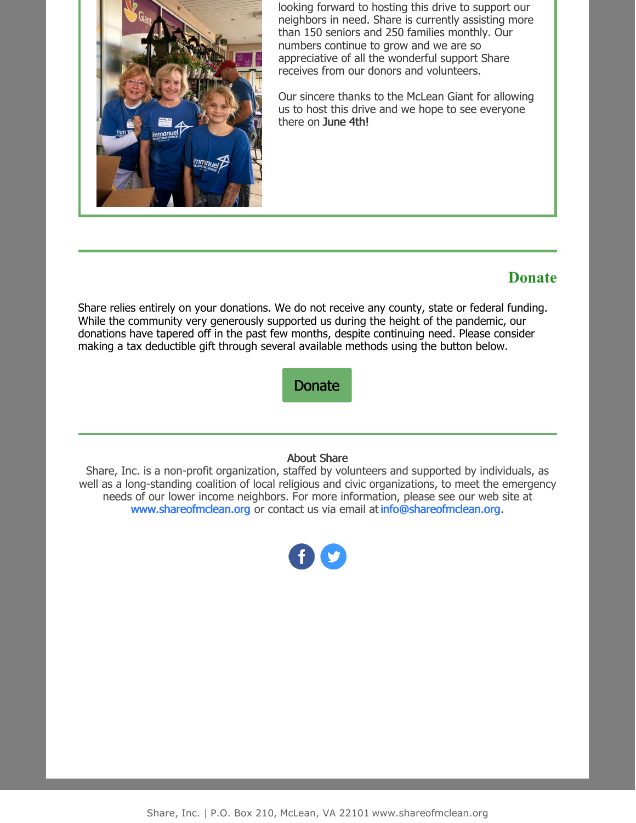

looking forward to hosting this drive to support our neighbors in need. Share is currently assisting more than 150 seniors and 250 families monthly. Our numbers continue to grow and we are so appreciative of all the wonderful support Share receives from our donors and volunteers.

Our sincere thanks to the McLean Giant for allowing us to host this drive and we hope to see everyone there on June 4th!

#### **Donate**

Share relies entirely on your donations. We do not receive any county, state or federal funding. While the community very generously supported us during the height of the pandemic, our donations have tapered off in the past few months, despite continuing need. Please consider making a tax deductible gift through several available methods using the button below.

[Donate](https://www.shareofmclean.org/donate)

#### About Share

Share, Inc. is a non-profit organization, staffed by volunteers and supported by individuals, as well as a long-standing coalition of local religious and civic organizations, to meet the emergency needs of our lower income neighbors. For more information, please see our web site at [www.shareofmclean.org](https://nam12.safelinks.protection.outlook.com/?url=http%3A%2F%2Fwww.shareofmclean.org%2F&data=05%7C01%7C%7Cabe2a81c879a46f80ffc08da2ef8b81a%7C84df9e7fe9f640afb435aaaaaaaaaaaa%7C1%7C0%7C637873943013186284%7CUnknown%7CTWFpbGZsb3d8eyJWIjoiMC4wLjAwMDAiLCJQIjoiV2luMzIiLCJBTiI6Ik1haWwiLCJXVCI6Mn0%3D%7C3000%7C%7C%7C&sdata=4jI0oc4D%2BDysTnX%2FiwX%2BNcwUUGdSOQsSbaMhdAthSV4%3D&reserved=0) or contact us via email at [info@shareofmclean.org](mailto:info@shareofmclean.org).